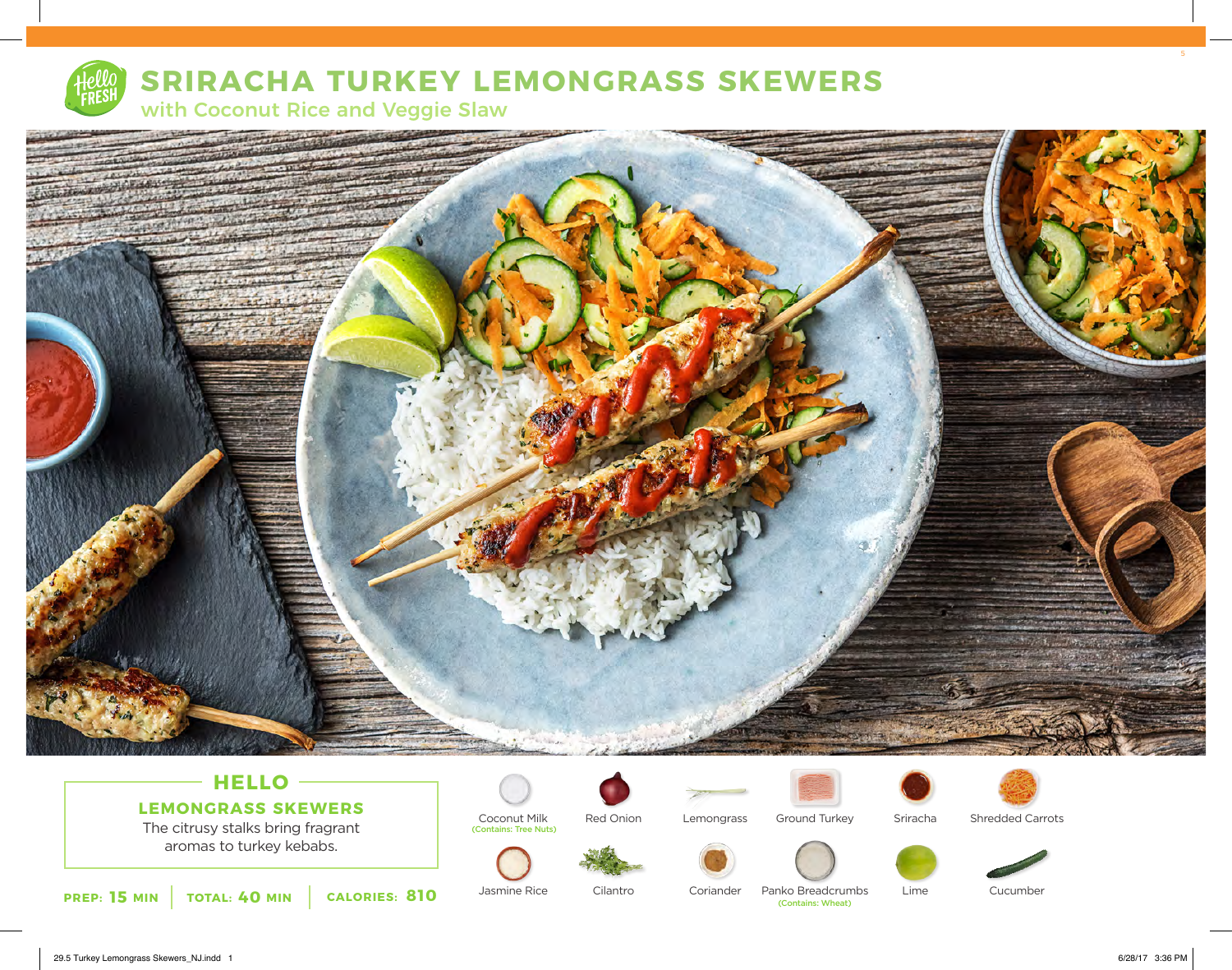

## **SRIRACHA TURKEY LEMONGRASS SKEWERS**

with Coconut Rice and Veggie Slaw



## **HELLO LEMONGRASS SKEWERS**

The citrusy stalks bring fragrant aromas to turkey kebabs.













Shredded Carrots









Sriracha



**15 MIN TOTAL: 40 MIN CALORIES: 810** Jasmine Rice Cliantro Coriander Panko Breadcrun (Contains: Wheat)

Jasmine Rice

Coconut Milk

(Contains: Tree Nuts)

Cilantro Coriander Panko Breadcrumbs<br>
(Contains: Wheat)

Cucumber